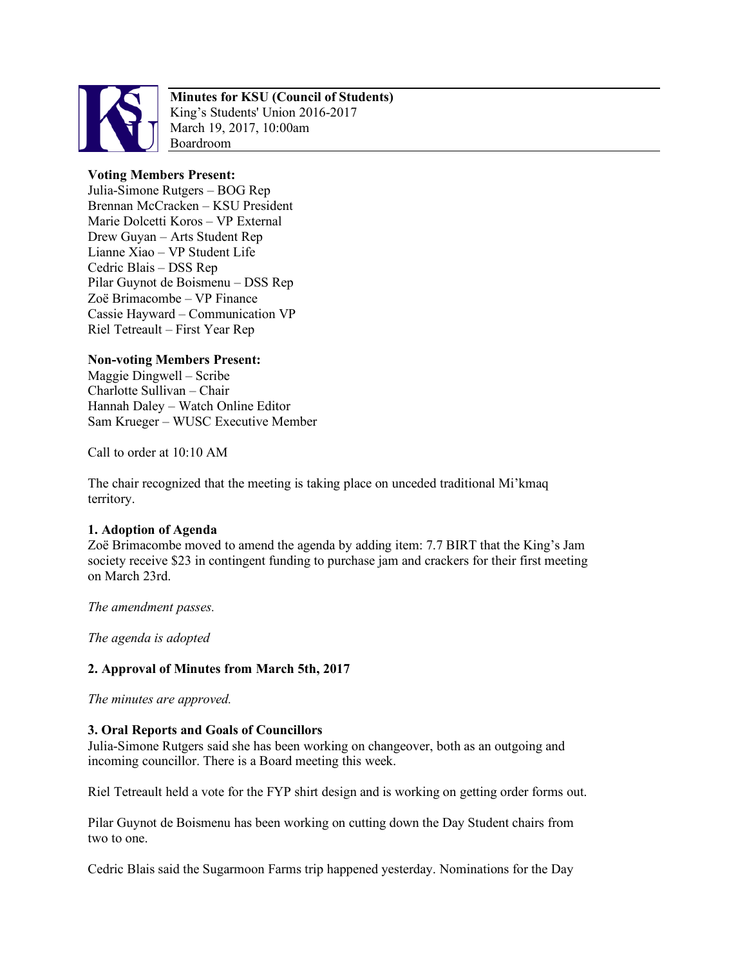

# **Minutes for KSU (Council of Students)**

King's Students' Union 2016-2017 March 19, 2017, 10:00am Boardroom

## **Voting Members Present:**

Julia-Simone Rutgers – BOG Rep Brennan McCracken – KSU President Marie Dolcetti Koros – VP External Drew Guyan – Arts Student Rep Lianne Xiao – VP Student Life Cedric Blais – DSS Rep Pilar Guynot de Boismenu – DSS Rep Zoë Brimacombe – VP Finance Cassie Hayward – Communication VP Riel Tetreault – First Year Rep

## **Non-voting Members Present:**

Maggie Dingwell – Scribe Charlotte Sullivan – Chair Hannah Daley – Watch Online Editor Sam Krueger – WUSC Executive Member

Call to order at 10:10 AM

The chair recognized that the meeting is taking place on unceded traditional Mi'kmaq territory.

### **1. Adoption of Agenda**

Zoë Brimacombe moved to amend the agenda by adding item: 7.7 BIRT that the King's Jam society receive \$23 in contingent funding to purchase jam and crackers for their first meeting on March 23rd.

*The amendment passes.*

*The agenda is adopted*

### **2. Approval of Minutes from March 5th, 2017**

*The minutes are approved.*

### **3. Oral Reports and Goals of Councillors**

Julia-Simone Rutgers said she has been working on changeover, both as an outgoing and incoming councillor. There is a Board meeting this week.

Riel Tetreault held a vote for the FYP shirt design and is working on getting order forms out.

Pilar Guynot de Boismenu has been working on cutting down the Day Student chairs from two to one.

Cedric Blais said the Sugarmoon Farms trip happened yesterday. Nominations for the Day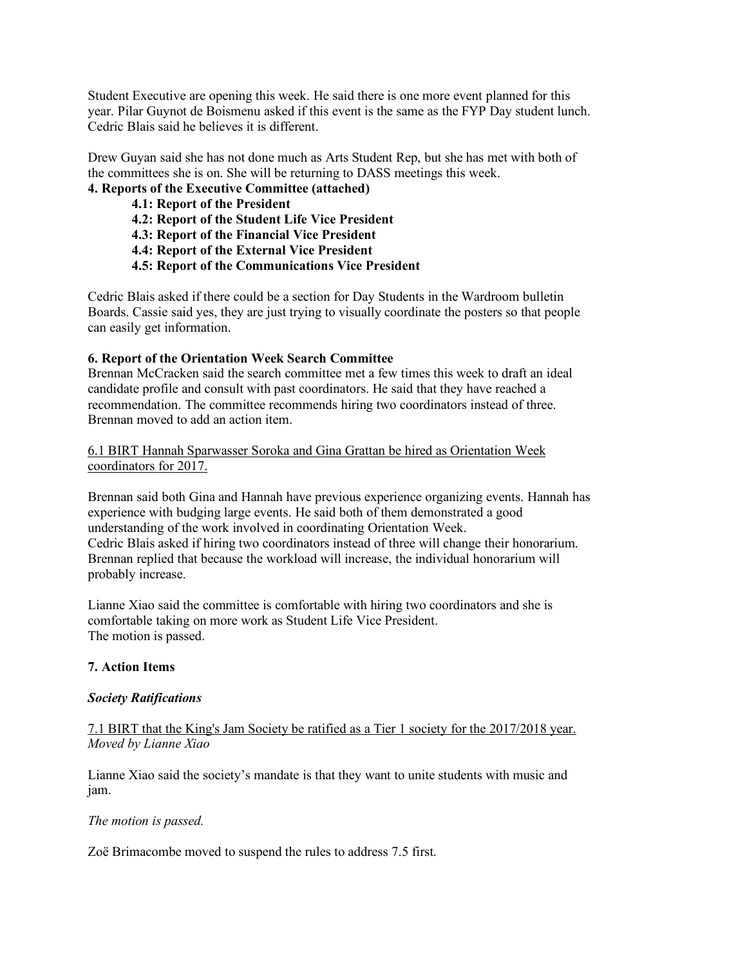Student Executive are opening this week. He said there is one more event planned for this year. Pilar Guynot de Boismenu asked if this event is the same as the FYP Day student lunch. Cedric Blais said he believes it is different.

Drew Guyan said she has not done much as Arts Student Rep, but she has met with both of the committees she is on. She will be returning to DASS meetings this week.

# **4. Reports of the Executive Committee (attached)**

- **4.1: Report of the President**
- **4.2: Report of the Student Life Vice President**
- **4.3: Report of the Financial Vice President**
- **4.4: Report of the External Vice President**
- **4.5: Report of the Communications Vice President**

Cedric Blais asked if there could be a section for Day Students in the Wardroom bulletin Boards. Cassie said yes, they are just trying to visually coordinate the posters so that people can easily get information.

### **6. Report of the Orientation Week Search Committee**

Brennan McCracken said the search committee met a few times this week to draft an ideal candidate profile and consult with past coordinators. He said that they have reached a recommendation. The committee recommends hiring two coordinators instead of three. Brennan moved to add an action item.

6.1 BIRT Hannah Sparwasser Soroka and Gina Grattan be hired as Orientation Week coordinators for 2017.

Brennan said both Gina and Hannah have previous experience organizing events. Hannah has experience with budging large events. He said both of them demonstrated a good understanding of the work involved in coordinating Orientation Week. Cedric Blais asked if hiring two coordinators instead of three will change their honorarium. Brennan replied that because the workload will increase, the individual honorarium will probably increase.

Lianne Xiao said the committee is comfortable with hiring two coordinators and she is comfortable taking on more work as Student Life Vice President. The motion is passed.

### **7. Action Items**

#### *Society Ratifications*

7.1 BIRT that the King's Jam Society be ratified as a Tier 1 society for the 2017/2018 year. *Moved by Lianne Xiao*

Lianne Xiao said the society's mandate is that they want to unite students with music and jam.

#### *The motion is passed.*

Zoë Brimacombe moved to suspend the rules to address 7.5 first.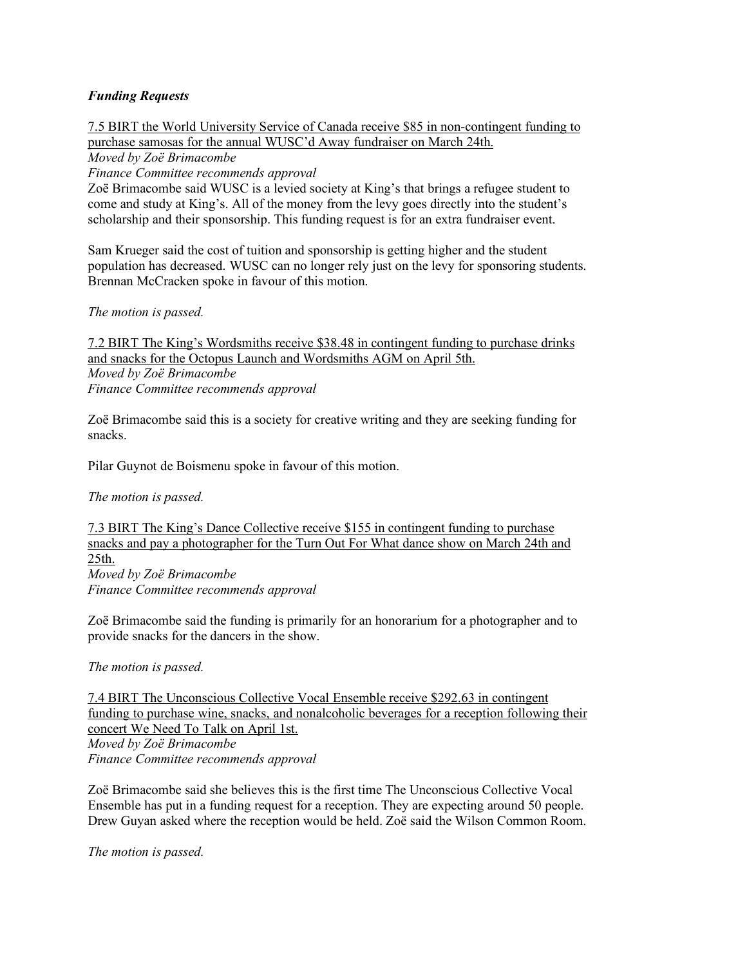### *Funding Requests*

7.5 BIRT the World University Service of Canada receive \$85 in non-contingent funding to purchase samosas for the annual WUSC'd Away fundraiser on March 24th.

*Moved by Zoë Brimacombe*

*Finance Committee recommends approval*

Zoë Brimacombe said WUSC is a levied society at King's that brings a refugee student to come and study at King's. All of the money from the levy goes directly into the student's scholarship and their sponsorship. This funding request is for an extra fundraiser event.

Sam Krueger said the cost of tuition and sponsorship is getting higher and the student population has decreased. WUSC can no longer rely just on the levy for sponsoring students. Brennan McCracken spoke in favour of this motion.

*The motion is passed.*

7.2 BIRT The King's Wordsmiths receive \$38.48 in contingent funding to purchase drinks and snacks for the Octopus Launch and Wordsmiths AGM on April 5th. *Moved by Zoë Brimacombe Finance Committee recommends approval*

Zoë Brimacombe said this is a society for creative writing and they are seeking funding for snacks.

Pilar Guynot de Boismenu spoke in favour of this motion.

*The motion is passed.*

7.3 BIRT The King's Dance Collective receive \$155 in contingent funding to purchase snacks and pay a photographer for the Turn Out For What dance show on March 24th and 25th. *Moved by Zoë Brimacombe Finance Committee recommends approval*

Zoë Brimacombe said the funding is primarily for an honorarium for a photographer and to provide snacks for the dancers in the show.

*The motion is passed.*

7.4 BIRT The Unconscious Collective Vocal Ensemble receive \$292.63 in contingent funding to purchase wine, snacks, and nonalcoholic beverages for a reception following their concert We Need To Talk on April 1st.

*Moved by Zoë Brimacombe Finance Committee recommends approval*

Zoë Brimacombe said she believes this is the first time The Unconscious Collective Vocal Ensemble has put in a funding request for a reception. They are expecting around 50 people. Drew Guyan asked where the reception would be held. Zoë said the Wilson Common Room.

*The motion is passed.*